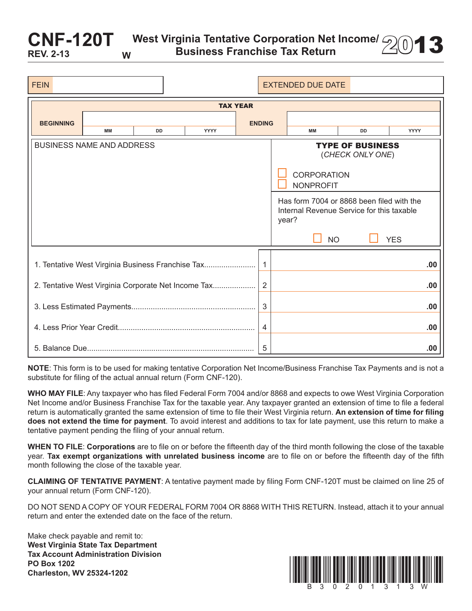West Virginia Tentative Corporation Net Income/ 200**13** 

| <b>FEIN</b>                                                           |    |           |             |               | <b>EXTENDED DUE DATE</b>                                                                        |           |             |
|-----------------------------------------------------------------------|----|-----------|-------------|---------------|-------------------------------------------------------------------------------------------------|-----------|-------------|
| <b>TAX YEAR</b>                                                       |    |           |             |               |                                                                                                 |           |             |
| <b>BEGINNING</b>                                                      | MМ | <b>DD</b> | <b>YYYY</b> | <b>ENDING</b> | MМ                                                                                              | <b>DD</b> | <b>YYYY</b> |
| <b>BUSINESS NAME AND ADDRESS</b>                                      |    |           |             |               | <b>TYPE OF BUSINESS</b><br>(CHECK ONLY ONE)                                                     |           |             |
|                                                                       |    |           |             |               | <b>CORPORATION</b><br><b>NONPROFIT</b>                                                          |           |             |
|                                                                       |    |           |             |               | Has form 7004 or 8868 been filed with the<br>Internal Revenue Service for this taxable<br>year? |           |             |
|                                                                       |    |           |             |               | <b>NO</b>                                                                                       |           | <b>YES</b>  |
| 1. Tentative West Virginia Business Franchise Tax<br>$\mathbf{1}$     |    |           |             |               |                                                                                                 |           | .00         |
| $\overline{2}$<br>2. Tentative West Virginia Corporate Net Income Tax |    |           |             |               |                                                                                                 |           | .00         |
| 3                                                                     |    |           |             |               |                                                                                                 |           | .00         |
| $\overline{4}$                                                        |    |           |             |               |                                                                                                 |           | .00         |
|                                                                       |    |           |             |               |                                                                                                 |           | .00         |

**NOTE**: This form is to be used for making tentative Corporation Net Income/Business Franchise Tax Payments and is not a substitute for filing of the actual annual return (Form CNF-120).

**WHO MAY FILE**: Any taxpayer who has filed Federal Form 7004 and/or 8868 and expects to owe West Virginia Corporation Net Income and/or Business Franchise Tax for the taxable year. Any taxpayer granted an extension of time to file a federal return is automatically granted the same extension of time to file their West Virginia return. **An extension of time for filing does not extend the time for payment**. To avoid interest and additions to tax for late payment, use this return to make a tentative payment pending the filing of your annual return.

**WHEN TO FILE**: **Corporations** are to file on or before the fifteenth day of the third month following the close of the taxable year. **Tax exempt organizations with unrelated business income** are to file on or before the fifteenth day of the fifth month following the close of the taxable year.

**CLAIMING OF TENTATIVE PAYMENT**: A tentative payment made by filing Form CNF-120T must be claimed on line 25 of your annual return (Form CNF-120).

DO NOT SEND A COPY OF YOUR FEDERAL FORM 7004 OR 8868 WITH THIS RETURN. Instead, attach it to your annual return and enter the extended date on the face of the return.

Make check payable and remit to: **West Virginia State Tax Department Tax Account Administration Division PO Box 1202**